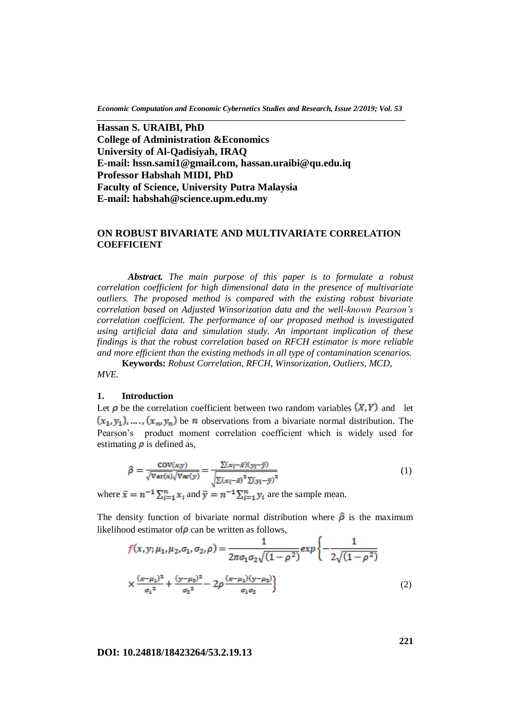*Economic Computation and Economic Cybernetics Studies and Research, Issue 2/2019; Vol. 53 \_\_\_\_\_\_\_\_\_\_\_\_\_\_\_\_\_\_\_\_\_\_\_\_\_\_\_\_\_\_\_\_\_\_\_\_\_\_\_\_\_\_\_\_\_\_\_\_\_\_\_\_\_\_\_\_\_\_\_\_\_\_\_\_\_\_\_\_\_\_\_\_\_\_\_\_\_\_\_\_*

**Hassan S. URAIBI, PhD College of Administration &Economics University of Al-Qadisiyah, IRAQ E-mail: [hssn.sami1@gmail.com,](mailto:hssn.sami1@gmail.com) [hassan.uraibi@qu.edu.iq](mailto:hassan.uraibi@qu.edu.iq) Professor Habshah MIDI, PhD Faculty of Science, University Putra Malaysia E-mail: habshah@science.upm.edu.my**

## **ON ROBUST BIVARIATE AND MULTIVARIATE CORRELATION COEFFICIENT**

*Abstract. The main purpose of this paper is to formulate a robust correlation coefficient for high dimensional data in the presence of multivariate outliers. The proposed method is compared with the existing robust bivariate correlation based on Adjusted Winsorization data and the well-known Pearson's correlation coefficient. The performance of our proposed method is investigated using artificial data and simulation study. An important implication of these findings is that the robust correlation based on RFCH estimator is more reliable and more efficient than the existing methods in all type of contamination scenarios.* 

**Keywords:** *Robust Correlation, RFCH, Winsorization, Outliers, MCD, MVE.*

### **1. Introduction**

Let  $\rho$  be the correlation coefficient between two random variables  $(X, Y)$  and let  $(x_1, y_1), \ldots, (x_n, y_n)$  be *n* observations from a bivariate normal distribution. The Pearson's product moment correlation coefficient which is widely used for estimating  $\rho$  is defined as,

$$
\hat{\rho} = \frac{\text{cov}(x, y)}{\sqrt{\text{Var}(x)}\sqrt{\text{Var}(y)}} = \frac{\sum (x_i - \bar{x})(y_i - \bar{y})}{\sqrt{\sum (x_i - \bar{x})^2 \sum (y_i - \bar{y})^2}} \tag{1}
$$

where  $\bar{x} = n^{-1} \sum_{i=1}^{n} x_i$  and  $\bar{y} = n^{-1} \sum_{i=1}^{n} y_i$  are the sample mean.

The density function of bivariate normal distribution where  $\hat{\rho}$  is the maximum likelihood estimator of  $\rho$  can be written as follows,

$$
f(x, y; \mu_1, \mu_2, \sigma_1, \sigma_2, \rho) = \frac{1}{2\pi\sigma_1\sigma_2\sqrt{(1-\rho^2)}} exp\left\{-\frac{1}{2\sqrt{(1-\rho^2)}}\right\}
$$

$$
\times \frac{(x-\mu_1)^2}{\sigma_1^2} + \frac{(y-\mu_2)^2}{\sigma_2^2} - 2\rho \frac{(x-\mu_1)(y-\mu_2)}{\sigma_1\sigma_2}\right\}
$$
(2)

### **DOI: 10.24818/18423264/53.2.19.13**

**221**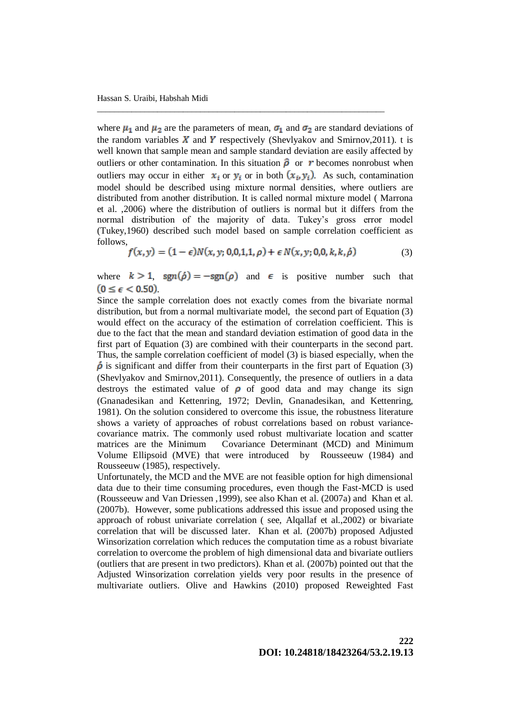where  $\mu_1$  and  $\mu_2$  are the parameters of mean,  $\sigma_1$  and  $\sigma_2$  are standard deviations of the random variables  $X$  and  $Y$  respectively (Shevlyakov and Smirnov, 2011). t is well known that sample mean and sample standard deviation are easily affected by outliers or other contamination. In this situation  $\hat{\rho}$  or r becomes nonrobust when outliers may occur in either  $x_i$  or  $y_i$  or in both  $(x_i, y_i)$ . As such, contamination model should be described using mixture normal densities, where outliers are distributed from another distribution. It is called normal mixture model ( Marrona et al. ,2006) where the distribution of outliers is normal but it differs from the normal distribution of the majority of data. Tukey's gross error model (Tukey,1960) described such model based on sample correlation coefficient as follows,

\_\_\_\_\_\_\_\_\_\_\_\_\_\_\_\_\_\_\_\_\_\_\_\_\_\_\_\_\_\_\_\_\_\_\_\_\_\_\_\_\_\_\_\_\_\_\_\_\_\_\_\_\_\_\_\_\_\_\_\_\_\_\_\_\_\_\_

$$
f(x, y) = (1 - \epsilon)N(x, y; 0, 0, 1, 1, \rho) + \epsilon N(x, y; 0, 0, k, k, \dot{\rho})
$$
(3)

where  $k > 1$ , sgn( $\phi$ ) = -sgn( $\rho$ ) and  $\epsilon$  is positive number such that  $(0 \leq \epsilon < 0.50)$ .

Since the sample correlation does not exactly comes from the bivariate normal distribution, but from a normal multivariate model, the second part of Equation (3) would effect on the accuracy of the estimation of correlation coefficient. This is due to the fact that the mean and standard deviation estimation of good data in the first part of Equation (3) are combined with their counterparts in the second part. Thus, the sample correlation coefficient of model (3) is biased especially, when the  $\dot{\rho}$  is significant and differ from their counterparts in the first part of Equation (3) (Shevlyakov and Smirnov,2011). Consequently, the presence of outliers in a data destroys the estimated value of  $\rho$  of good data and may change its sign (Gnanadesikan and Kettenring, 1972; Devlin, Gnanadesikan, and Kettenring, 1981). On the solution considered to overcome this issue, the robustness literature shows a variety of approaches of robust correlations based on robust variancecovariance matrix. The commonly used robust multivariate location and scatter matrices are the Minimum Covariance Determinant (MCD) and Minimum Volume Ellipsoid (MVE) that were introduced by Rousseeuw (1984) and Rousseeuw (1985), respectively.

Unfortunately, the MCD and the MVE are not feasible option for high dimensional data due to their time consuming procedures, even though the Fast-MCD is used (Rousseeuw and Van Driessen ,1999), see also Khan et al. (2007a) and Khan et al. (2007b). However, some publications addressed this issue and proposed using the approach of robust univariate correlation ( see, Alqallaf et al.,2002) or bivariate correlation that will be discussed later. Khan et al. (2007b) proposed Adjusted Winsorization correlation which reduces the computation time as a robust bivariate correlation to overcome the problem of high dimensional data and bivariate outliers (outliers that are present in two predictors). Khan et al. (2007b) pointed out that the Adjusted Winsorization correlation yields very poor results in the presence of multivariate outliers. Olive and Hawkins (2010) proposed Reweighted Fast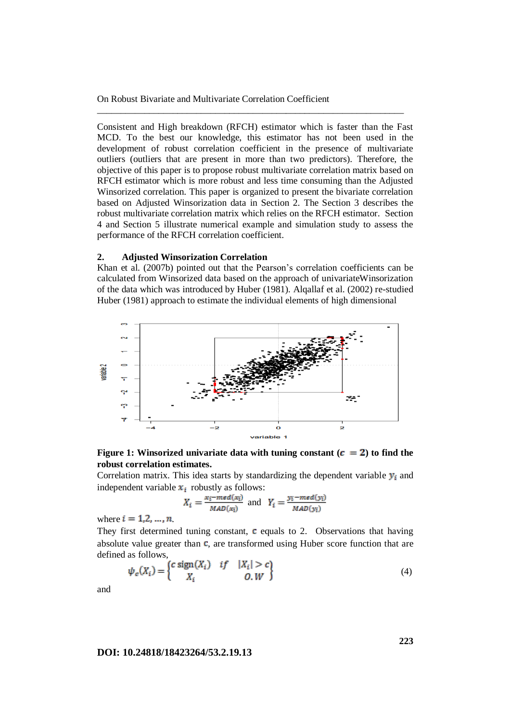Consistent and High breakdown (RFCH) estimator which is faster than the Fast MCD. To the best our knowledge, this estimator has not been used in the development of robust correlation coefficient in the presence of multivariate outliers (outliers that are present in more than two predictors). Therefore, the objective of this paper is to propose robust multivariate correlation matrix based on RFCH estimator which is more robust and less time consuming than the Adjusted Winsorized correlation. This paper is organized to present the bivariate correlation based on Adjusted Winsorization data in Section 2. The Section 3 describes the robust multivariate correlation matrix which relies on the RFCH estimator. Section 4 and Section 5 illustrate numerical example and simulation study to assess the performance of the RFCH correlation coefficient.

\_\_\_\_\_\_\_\_\_\_\_\_\_\_\_\_\_\_\_\_\_\_\_\_\_\_\_\_\_\_\_\_\_\_\_\_\_\_\_\_\_\_\_\_\_\_\_\_\_\_\_\_\_\_\_\_\_\_\_\_\_\_\_\_\_

### **2. Adjusted Winsorization Correlation**

Khan et al. (2007b) pointed out that the Pearson's correlation coefficients can be calculated from Winsorized data based on the approach of univariateWinsorization of the data which was introduced by Huber (1981). Alqallaf et al. (2002) re-studied Huber (1981) approach to estimate the individual elements of high dimensional



**Figure 1:** Winsorized univariate data with tuning constant  $(c = 2)$  to find the **robust correlation estimates.**

Correlation matrix. This idea starts by standardizing the dependent variable  $y_i$  and independent variable  $x_i$  robustly as follows:

$$
X_i = \frac{x_i - \text{med}(x_i)}{\text{MAD}(x_i)} \text{ and } Y_i = \frac{y_i - \text{med}(y_i)}{\text{MAD}(y_i)}
$$

where  $i = 1, 2, ..., n$ 

They first determined tuning constant,  $\mathbf c$  equals to 2. Observations that having absolute value greater than  $\mathbf c$ , are transformed using Huber score function that are defined as follows,

$$
\psi_c(X_i) = \begin{cases} c \operatorname{sign}(X_i) & \text{if} \quad |X_i| > c \\ X_i & \text{if} \quad 0, W \end{cases} \tag{4}
$$

and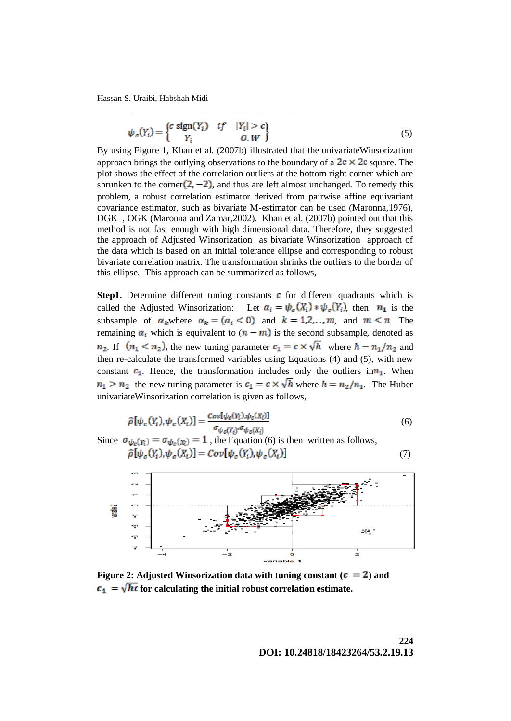Hassan S. Uraibi, Habshah Midi

$$
\psi_c(Y_i) = \begin{cases} c \operatorname{sign}(Y_i) & \text{if} \quad |Y_i| > c \\ Y_i & \text{if} \quad 0, W \end{cases} \tag{5}
$$

\_\_\_\_\_\_\_\_\_\_\_\_\_\_\_\_\_\_\_\_\_\_\_\_\_\_\_\_\_\_\_\_\_\_\_\_\_\_\_\_\_\_\_\_\_\_\_\_\_\_\_\_\_\_\_\_\_\_\_\_\_\_\_\_\_\_\_

By using Figure 1, Khan et al. (2007b) illustrated that the univariateWinsorization approach brings the outlying observations to the boundary of a  $2c \times 2c$  square. The plot shows the effect of the correlation outliers at the bottom right corner which are shrunken to the corner  $(2, -2)$ , and thus are left almost unchanged. To remedy this problem, a robust correlation estimator derived from pairwise affine equivariant covariance estimator, such as bivariate M-estimator can be used (Maronna,1976), DGK , OGK (Maronna and Zamar,2002). Khan et al. (2007b) pointed out that this method is not fast enough with high dimensional data. Therefore, they suggested the approach of Adjusted Winsorization as bivariate Winsorization approach of the data which is based on an initial tolerance ellipse and corresponding to robust bivariate correlation matrix. The transformation shrinks the outliers to the border of this ellipse. This approach can be summarized as follows,

**Step1.** Determine different tuning constants  $\boldsymbol{c}$  for different quadrants which is called the Adjusted Winsorization: Let  $\alpha_i = \psi_c(X_i) * \psi_c(Y_i)$ , then  $n_1$  is the subsample of  $\alpha_k$  where  $\alpha_k = (\alpha_i < 0)$  and  $k = 1, 2, \dots, m$ , and  $m \le n$ . The remaining  $\alpha_i$  which is equivalent to  $(n - m)$  is the second subsample, denoted as  $n_2$ . If  $(n_1 < n_2)$ , the new tuning parameter  $c_1 = c \times \sqrt{h}$  where  $h = n_1/n_2$  and then re-calculate the transformed variables using Equations (4) and (5), with new constant  $c_1$ . Hence, the transformation includes only the outliers in  $n_1$ . When  $n_1 > n_2$  the new tuning parameter is  $c_1 = c \times \sqrt{h}$  where  $h = n_2/n_1$ . The Huber univariateWinsorization correlation is given as follows,

$$
\hat{\rho}[\psi_c(Y_i), \psi_c(X_i)] = \frac{Cov[\psi_c(Y_i), \psi_c(X_i)]}{\sigma_{\psi_c(Y_i)} \cdot \sigma_{\psi_c(X_i)}}\tag{6}
$$

Since  $\sigma_{\psi_c(Y_i)} = \sigma_{\psi_c(X_i)} = 1$ , the Equation (6) is then written as follows,  $\vert$  (7)



**Figure 2: Adjusted Winsorization data with tuning constant (** $\mathbf{c} = 2$ **) and**  $\mathbf{f}_{1} = \sqrt{\mathbf{h}\mathbf{c}}$  for calculating the initial robust correlation estimate.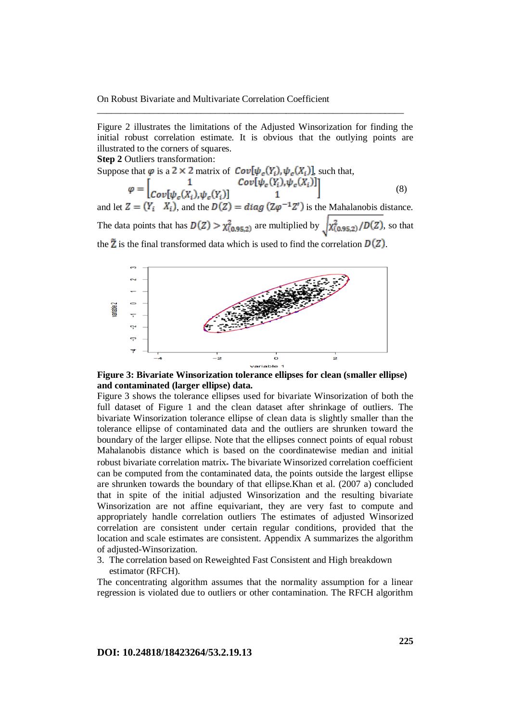Figure 2 illustrates the limitations of the Adjusted Winsorization for finding the initial robust correlation estimate. It is obvious that the outlying points are illustrated to the corners of squares.

\_\_\_\_\_\_\_\_\_\_\_\_\_\_\_\_\_\_\_\_\_\_\_\_\_\_\_\_\_\_\_\_\_\_\_\_\_\_\_\_\_\_\_\_\_\_\_\_\_\_\_\_\_\_\_\_\_\_\_\_\_\_\_\_\_

**Step 2** Outliers transformation:

Suppose that  $\varphi$  is a 2  $\times$  2 matrix of  $Cov[\psi_c(Y_i), \psi_c(X_i)]$ , such that, (8)

and let  $Z = (Y_i \ X_i)$ , and the  $D(Z) = diag(Z\varphi^{-1}Z')$  is the Mahalanobis distance. The data points that has  $D(Z) > \chi^2_{(0.95,2)}$  are multiplied by  $\sqrt{\chi^2_{(0.95,2)}/D(Z)}$ , so that the  $\tilde{Z}$  is the final transformed data which is used to find the correlation  $D(Z)$ .



**Figure 3: Bivariate Winsorization tolerance ellipses for clean (smaller ellipse) and contaminated (larger ellipse) data.**

Figure 3 shows the tolerance ellipses used for bivariate Winsorization of both the full dataset of Figure 1 and the clean dataset after shrinkage of outliers. The bivariate Winsorization tolerance ellipse of clean data is slightly smaller than the tolerance ellipse of contaminated data and the outliers are shrunken toward the boundary of the larger ellipse. Note that the ellipses connect points of equal robust Mahalanobis distance which is based on the coordinatewise median and initial robust bivariate correlation matrix The bivariate Winsorized correlation coefficient can be computed from the contaminated data, the points outside the largest ellipse are shrunken towards the boundary of that ellipse.Khan et al. (2007 a) concluded that in spite of the initial adjusted Winsorization and the resulting bivariate Winsorization are not affine equivariant, they are very fast to compute and appropriately handle correlation outliers The estimates of adjusted Winsorized correlation are consistent under certain regular conditions, provided that the location and scale estimates are consistent. Appendix A summarizes the algorithm of adjusted-Winsorization.

3. The correlation based on Reweighted Fast Consistent and High breakdown estimator (RFCH).

The concentrating algorithm assumes that the normality assumption for a linear regression is violated due to outliers or other contamination. The RFCH algorithm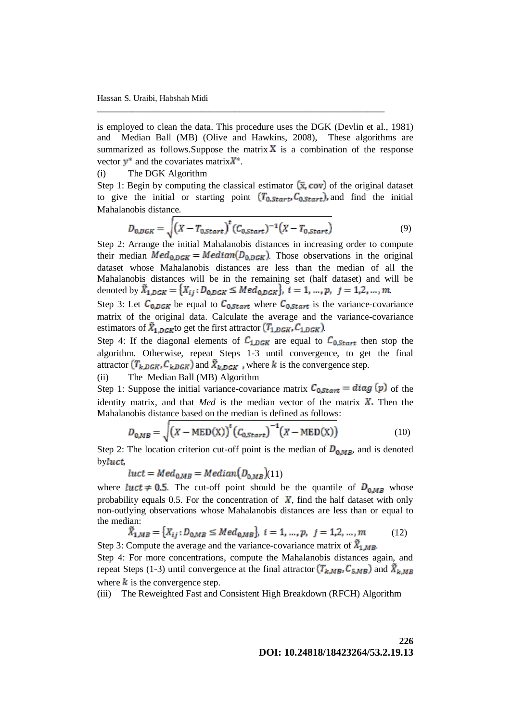is employed to clean the data. This procedure uses the DGK (Devlin et al., 1981) and Median Ball (MB) (Olive and Hawkins, 2008), These algorithms are summarized as follows. Suppose the matrix  $X$  is a combination of the response vector  $y^*$  and the covariates matrix  $X^*$ .

\_\_\_\_\_\_\_\_\_\_\_\_\_\_\_\_\_\_\_\_\_\_\_\_\_\_\_\_\_\_\_\_\_\_\_\_\_\_\_\_\_\_\_\_\_\_\_\_\_\_\_\_\_\_\_\_\_\_\_\_\_\_\_\_\_\_\_

### (i) The DGK Algorithm

Step 1: Begin by computing the classical estimator  $(\bar{x}, cov)$  of the original dataset to give the initial or starting point  $(T_{0, Start}, C_{0, Start})$ , and find the initial Mahalanobis distance.

$$
D_{0,DGK} = \sqrt{(X - T_{0,Start})}^{t} (C_{0,Start})^{-1} (X - T_{0,Start})
$$
\n(9)

Step 2: Arrange the initial Mahalanobis distances in increasing order to compute their median  $Med_{0,DGK} = Median(D_{0,DGK})$ . Those observations in the original dataset whose Mahalanobis distances are less than the median of all the Mahalanobis distances will be in the remaining set (half dataset) and will be denoted by  $\tilde{X}_{1,DGK} = \{X_{ij} : D_{0,DGK} \le Med_{0,DGK}\}, i = 1, ..., p, j = 1,2,...,m\}$ 

Step 3: Let  $C_{0,DGK}$  be equal to  $C_{0,Start}$  where  $C_{0,Start}$  is the variance-covariance matrix of the original data. Calculate the average and the variance-covariance estimators of  $\bar{X}_{1,DGK}$  to get the first attractor  $(T_{1,DGK}, C_{1,DGK})$ .

Step 4: If the diagonal elements of  $C_{1,DGK}$  are equal to  $C_{0,Start}$  then stop the algorithm. Otherwise, repeat Steps 1-3 until convergence, to get the final attractor  $(T_{k,DGK}, C_{k,DGK})$  and  $\tilde{X}_{k,DGK}$ , where k is the convergence step.

## (ii) The Median Ball (MB) Algorithm

Step 1: Suppose the initial variance-covariance matrix  $C_{0, Start} = diag(p)$  of the identity matrix, and that  $Med$  is the median vector of the matrix  $X$ . Then the Mahalanobis distance based on the median is defined as follows:

$$
D_{0,MB} = \sqrt{(X - \text{MED}(X))^{t} (C_{0,start})^{-1} (X - \text{MED}(X))}
$$
 (10)

Step 2: The location criterion cut-off point is the median of  $D_{0MB}$ , and is denoted by*luct*,

 $luct = Med_{0MB} = Median(D_{0MB})(11)$ 

where *luct*  $\neq$  0.5. The cut-off point should be the quantile of  $D_{0MB}$  whose probability equals 0.5. For the concentration of  $\boldsymbol{X}$ , find the half dataset with only non-outlying observations whose Mahalanobis distances are less than or equal to the median:

$$
\tilde{X}_{1,MB} = \{X_{ij} : D_{0,MB} \le Med_{0,MB}\}, \ i = 1, ..., p, \ j = 1, 2, ..., m \tag{12}
$$
\n
$$
\text{Compute the average and the variance convergence matrix of } \tilde{Y}
$$

Step 3: Compute the average and the variance-covariance matrix of  $X_{1,M}$ . Step 4: For more concentrations, compute the Mahalanobis distances again, and repeat Steps (1-3) until convergence at the final attractor  $(T_{k,MB}, C_{5,MB})$  and  $\tilde{X}_{k,MB}$ where  $\boldsymbol{k}$  is the convergence step.

(iii) The Reweighted Fast and Consistent High Breakdown (RFCH) Algorithm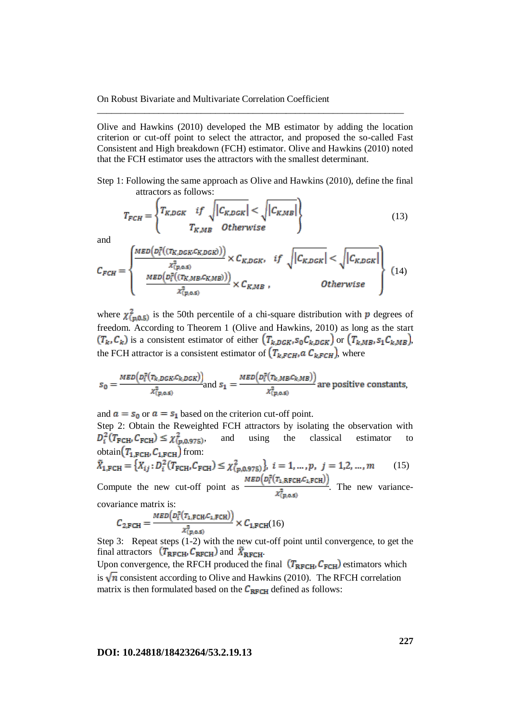Olive and Hawkins (2010) developed the MB estimator by adding the location criterion or cut-off point to select the attractor, and proposed the so-called Fast Consistent and High breakdown (FCH) estimator. Olive and Hawkins (2010) noted that the FCH estimator uses the attractors with the smallest determinant.

\_\_\_\_\_\_\_\_\_\_\_\_\_\_\_\_\_\_\_\_\_\_\_\_\_\_\_\_\_\_\_\_\_\_\_\_\_\_\_\_\_\_\_\_\_\_\_\_\_\_\_\_\_\_\_\_\_\_\_\_\_\_\_\_\_

Step 1: Following the same approach as Olive and Hawkins (2010), define the final attractors as follows:

$$
T_{FCH} = \left\{ T_{K,DGK} \quad \text{if} \quad \sqrt{|C_{K,DGK}|} < \sqrt{|C_{KMB}|} \right\}
$$
\n
$$
T_{K,MB} \quad \text{Otherwise}
$$
\n(13)

and

$$
C_{FCH} = \begin{cases} \frac{MED\left(D_i^2\left((T_{K,DGK}, C_{K,DGK})\right)\right)}{x_{(p,0.5)}^2} \times C_{K,DGK}, & if \sqrt{|C_{K,DGK}|} < \sqrt{|C_{K,DGK}|} \\ \frac{MED\left(D_i^2\left((T_{K,MB}, C_{K,MB})\right)\right)}{x_{(p,0.5)}^2} \times C_{K,MB}, & Otherwise \end{cases}
$$
(14)

where  $\chi^2_{(p,0,5)}$  is the 50th percentile of a chi-square distribution with p degrees of freedom. According to Theorem 1 (Olive and Hawkins, 2010) as long as the start  $(T_k, C_k)$  is a consistent estimator of either  $(T_{k, DGK}, S_0 C_{k, DGK})$  or  $(T_{k, MB}, S_1 C_{k, MB})$ , the FCH attractor is a consistent estimator of  $(T_{k, FCH}, a C_{k, FCH})$ , where

$$
s_0 = \frac{{\text{MED}\left( \frac{D_t^2(\tau_{k,DGK},C_{k,DGK})}{\lambda_{(p,0.5)}^2} \right)}}{\lambda_{(p,0.5)}^2} \text{ and } s_1 = \frac{{\text{MED}\left( \frac{D_t^2(\tau_{k,MB},C_{k,MB})}{\lambda_{(p,0.5)}^2} \right)}}{\lambda_{(p,0.5)}^2} \text{ are positive constants},
$$

and  $\mathbf{a} = \mathbf{s}_0$  or  $\mathbf{a} = \mathbf{s}_1$  based on the criterion cut-off point.

Step 2: Obtain the Reweighted FCH attractors by isolating the observation with  $D_i^2(T_{\text{FCH}} C_{\text{FCH}}) \leq \chi^2_{(p,0.975)}$ , and using the classical estimator to , and using the classical estimator to obtain $(T_{1, FCH} C_{1, FCH})$  from:

$$
\tilde{X}_{1,\text{FCH}} = \left\{ X_{ij} : D_i^2 \left( T_{\text{FCH}} \right) C_{\text{FCH}} \right\} \leq \chi^2_{(p,0.975)} \right\}, \quad i = 1, \dots, p, \quad j = 1, 2, \dots, m \tag{15}
$$

Compute the new cut-off point as  $\frac{MED(D_i^{\tau}(T_1,RFCH,C_1,FCH))}{x_{(p,0.5)}^2}$ . The new variancecovariance matrix is:

$$
C_{2, \text{FCH}} = \frac{MED\left(D_i^2(T_{1, \text{FCH}} C_{1, \text{FCH}})\right)}{x_{(p, \text{o.s})}^2} \times C_{1, \text{FCH}}(16)
$$

Step 3: Repeat steps (1-2) with the new cut-off point until convergence, to get the final attractors  $(T_{\text{RFCH}} C_{\text{RFCH}})$  and  $\tilde{X}_{\text{RFCH}}$ 

Upon convergence, the RFCH produced the final  $(T_{RFCH}, C_{FCH})$  estimators which is  $\sqrt{n}$  consistent according to Olive and Hawkins (2010). The RFCH correlation matrix is then formulated based on the  $C_{\text{RFCH}}$  defined as follows: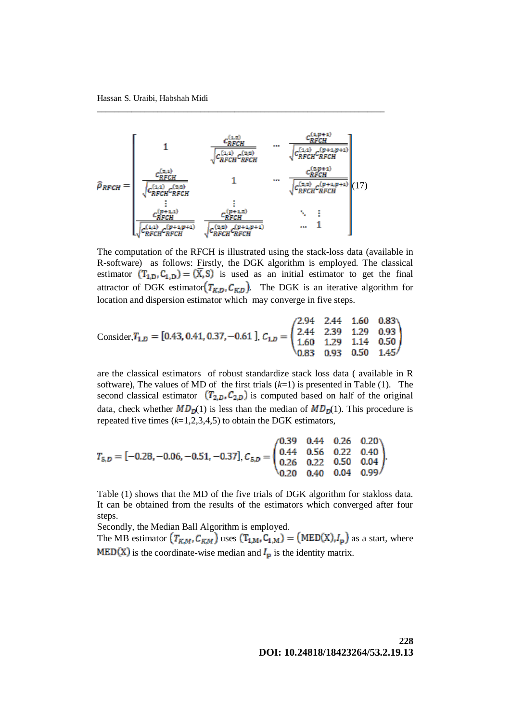$$
\hat{\rho}_{RFCH} = \begin{bmatrix}\n1 & \frac{c_{RFCH}^{(1,2)}}{\sqrt{c_{RFCH}^{(1,1)}c_{RFCH}^{(2,2)}}} & \cdots & \frac{c_{RFCH}^{(1,p+1)}}{\sqrt{c_{RFCH}^{(1,1)}c_{RFCH}^{(p+1,p+1)}}} \\
\vdots & \vdots & \ddots & \vdots \\
\frac{c_{RFCH}^{(2,1)}}{\sqrt{c_{RFCH}^{(2,1)}c_{RFCH}^{(2,2)}}} & 1 & \cdots & \frac{c_{RFCH}^{(2,p+1)}}{\sqrt{c_{RFCH}^{(2,2)}c_{RFCH}^{(p+1,p+1)}}} \\
\vdots & \vdots & \ddots & \vdots \\
\frac{c_{RFCH}^{(p+1,1)}}{\sqrt{c_{RFCH}^{(2,2)}c_{RFCH}^{(p+1,p+1)}}} & \frac{c_{RFCH}^{(p+1,2)}}{\sqrt{c_{RFCH}^{(2,2)}c_{RFCH}^{(p+1,p+1)}}} & \cdots & 1\n\end{bmatrix}\n\tag{17}
$$

\_\_\_\_\_\_\_\_\_\_\_\_\_\_\_\_\_\_\_\_\_\_\_\_\_\_\_\_\_\_\_\_\_\_\_\_\_\_\_\_\_\_\_\_\_\_\_\_\_\_\_\_\_\_\_\_\_\_\_\_\_\_\_\_\_\_\_

The computation of the RFCH is illustrated using the stack-loss data (available in R-software) as follows: Firstly, the DGK algorithm is employed. The classical estimator  $(T_{1,D}, C_{1,D}) = (\overline{X}, S)$  is used as an initial estimator to get the final attractor of DGK estimator  $(T_{K,D}, C_{K,D})$ . The DGK is an iterative algorithm for location and dispersion estimator which may converge in five steps.

Consider, 
$$
T_{1,D} = [0.43, 0.41, 0.37, -0.61]
$$
,  $C_{1,D} = \begin{pmatrix} 2.94 & 2.44 & 1.60 & 0.83 \\ 2.44 & 2.39 & 1.29 & 0.93 \\ 1.60 & 1.29 & 1.14 & 0.50 \\ 0.83 & 0.93 & 0.50 & 1.45 \end{pmatrix}$ 

are the classical estimators of robust standardize stack loss data ( available in R software), The values of MD of the first trials (*k*=1) is presented in Table (1). The second classical estimator  $(T_{2,D}, C_{2,D})$  is computed based on half of the original data, check whether  $MD<sub>D</sub>(1)$  is less than the median of  $MD<sub>D</sub>(1)$ . This procedure is repeated five times  $(k=1,2,3,4,5)$  to obtain the DGK estimators,

$$
T_{5,D} = [-0.28, -0.06, -0.51, -0.37], C_{5,D} = \begin{pmatrix} 0.39 & 0.44 & 0.26 & 0.20 \\ 0.44 & 0.56 & 0.22 & 0.40 \\ 0.26 & 0.22 & 0.50 & 0.04 \\ 0.20 & 0.40 & 0.04 & 0.99 \end{pmatrix}.
$$

Table (1) shows that the MD of the five trials of DGK algorithm for stakloss data. It can be obtained from the results of the estimators which converged after four steps.

Secondly, the Median Ball Algorithm is employed.

The MB estimator  $(T_{K,M}, C_{K,M})$  uses  $(T_{1,M}, C_{1,M}) = (MED(X), I_p)$  as a start, where  $MED(X)$  is the coordinate-wise median and  $I_p$  is the identity matrix.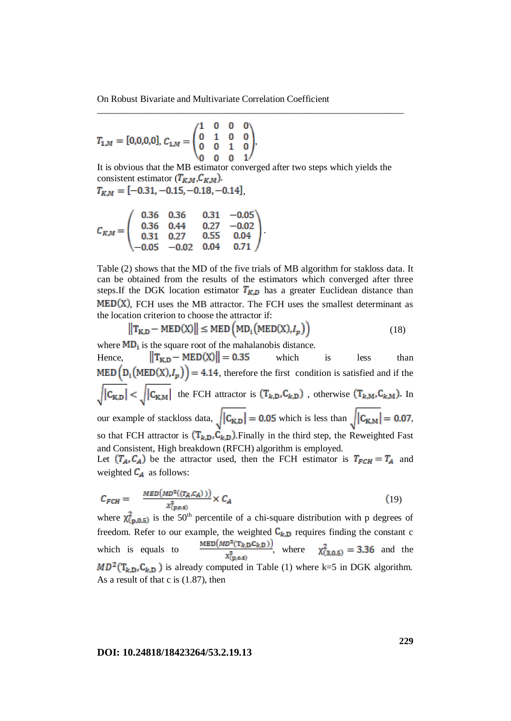$$
T_{1,M} = [0,0,0,0], C_{1,M} = \begin{pmatrix} 1 & 0 & 0 & 0 \\ 0 & 1 & 0 & 0 \\ 0 & 0 & 1 & 0 \\ 0 & 0 & 0 & 1 \end{pmatrix},
$$

It is obvious that the MB estimator converged after two steps which yields the consistent estimator  $(T_{K,M}, C_{K,M})$ . *,* 

\_\_\_\_\_\_\_\_\_\_\_\_\_\_\_\_\_\_\_\_\_\_\_\_\_\_\_\_\_\_\_\_\_\_\_\_\_\_\_\_\_\_\_\_\_\_\_\_\_\_\_\_\_\_\_\_\_\_\_\_\_\_\_\_\_

$$
T_{K,M} = [-0.31, -0.15, -0.18, -0.14]
$$

$$
C_{K,M} = \begin{pmatrix} 0.36 & 0.36 & 0.31 & -0.05 \\ 0.36 & 0.44 & 0.27 & -0.02 \\ 0.31 & 0.27 & 0.55 & 0.04 \\ -0.05 & -0.02 & 0.04 & 0.71 \end{pmatrix}
$$

Table (2) shows that the MD of the five trials of MB algorithm for stakloss data. It can be obtained from the results of the estimators which converged after three steps.If the DGK location estimator  $T_{K,D}$  has a greater Euclidean distance than  $MED(X)$ , FCH uses the MB attractor. The FCH uses the smallest determinant as the location criterion to choose the attractor if:

$$
\left\|T_{\text{K,D}} - \text{MED}(X)\right\| \le \text{MED}\left(\text{MD}_{i}\left(\text{MED}(X), I_{p}\right)\right) \tag{18}
$$

where  $MD_i$  is the square root of the mahalanobis distance.

Hence,  $||T_{K,D} - MED(X)|| = 0.35$  which is less than MED  $(D_i (MED(X), I_p)) = 4.14$ , therefore the first condition is satisfied and if the  $\sqrt{|C_{K,D}|} < \sqrt{|C_{K,M}|}$  the FCH attractor is  $(T_{k,D}, C_{k,D})$ , otherwise  $(T_{k,M}, C_{k,M})$ . In our example of stackloss data,  $\sqrt{|C_{K,D}|} = 0.05$  which is less than  $\sqrt{|C_{K,M}|} = 0.07$ , so that FCH attractor is  $(T_{k,D}, C_{k,D})$ . Finally in the third step, the Reweighted Fast and Consistent, High breakdown (RFCH) algorithm is employed. Let  $(T_A, C_A)$  be the attractor used, then the FCH estimator is  $T_{FCH} = T_A$  and weighted  $C_A$  as follows:

$$
C_{FCH} = \frac{MED(MD^2((T_A, C_A)))}{x_{(p,0.5)}^2} \times C_A \tag{19}
$$

where  $\chi^{2}_{(p,0.5)}$  is the 50<sup>th</sup> percentile of a chi-square distribution with p degrees of freedom. Refer to our example, the weighted  $C_{k,D}$  requires finding the constant c which is equals to  $\frac{\text{MED}(MD^2(T_{k,D}C_{k,D}))}{\chi^2_{(D,0.5)}}$ , where  $\chi^2_{(3,0.5)} = 3.36$  and the  $MD^2(T_{k,D}, C_{k,D})$  is already computed in Table (1) where k=5 in DGK algorithm. As a result of that c is (1.87), then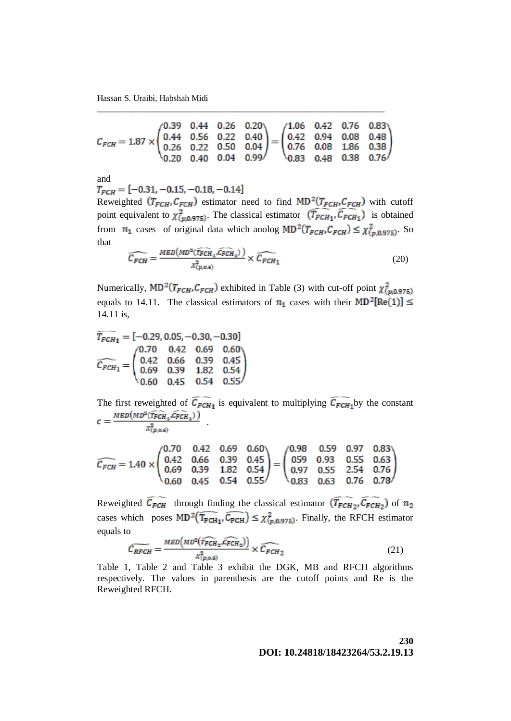Hassan S. Uraibi, Habshah Midi

$$
C_{FCH} = 1.87 \times \begin{pmatrix} 0.39 & 0.44 & 0.26 & 0.20 \\ 0.44 & 0.56 & 0.22 & 0.40 \\ 0.26 & 0.22 & 0.50 & 0.04 \\ 0.20 & 0.40 & 0.04 & 0.99 \end{pmatrix} = \begin{pmatrix} 1.06 & 0.42 & 0.76 & 0.83 \\ 0.42 & 0.94 & 0.08 & 0.48 \\ 0.76 & 0.08 & 1.86 & 0.38 \\ 0.83 & 0.48 & 0.38 & 0.76 \end{pmatrix}
$$

\_\_\_\_\_\_\_\_\_\_\_\_\_\_\_\_\_\_\_\_\_\_\_\_\_\_\_\_\_\_\_\_\_\_\_\_\_\_\_\_\_\_\_\_\_\_\_\_\_\_\_\_\_\_\_\_\_\_\_\_\_\_\_\_\_\_\_

 $\overline{a}$ 

and  $T_{FCH} = [-0.31, -0.15, -0.18, -0.14]$ 

Reweighted  $(T_{FCH}, C_{FCH})$  estimator need to find MD<sup>2</sup>( $T_{FCH}, C_{FCH}$ ) with cutoff point equivalent to  $\chi^2_{(p,0.975)}$ . The classical estimator  $(\overline{T_{FCH_1}}, \overline{C_{FCH_1}})$  is obtained from  $n_1$  cases of original data which anolog  $MD^2(T_{FCH}, C_{FCH}) \leq \chi^2_{(p,0.975)}$ . So that

$$
\widehat{C_{FCH}} = \frac{MED(MD^2(\widehat{T_{FCH_1}}, \widehat{C_{FCH_1}}))}{\chi^2_{(p,0.5)}} \times \widehat{C_{FCH_1}}
$$
(20)

Numerically,  $MD^2(T_{FCH}, C_{FCH})$  exhibited in Table (3) with cut-off point  $\chi^2_{(p,0.975)}$ equals to 14.11. The classical estimators of  $n_1$  cases with their MD<sup>2</sup>[Re(1)]  $\leq$ 14.11 is,

$$
T_{FCH_1} = [-0.29, 0.05, -0.30, -0.30]
$$

$$
\widehat{C_{FCH_1}} = \begin{pmatrix} 0.70 & 0.42 & 0.69 & 0.60 \\ 0.42 & 0.66 & 0.39 & 0.45 \\ 0.69 & 0.39 & 1.82 & 0.54 \\ 0.60 & 0.45 & 0.54 & 0.55 \end{pmatrix}
$$

The first reweighted of  $C_{FCH_1}$  is equivalent to multiplying  $C_{FCH_1}$ by the constant .

$$
\chi^2_{(p,\text{o},\text{s})}
$$

$$
\widehat{C_{FCH}} = 1.40 \times \begin{pmatrix} 0.70 & 0.42 & 0.69 & 0.60 \\ 0.42 & 0.66 & 0.39 & 0.45 \\ 0.60 & 0.45 & 0.54 & 0.55 \end{pmatrix} = \begin{pmatrix} 0.98 & 0.59 & 0.97 & 0.83 \\ 059 & 0.93 & 0.55 & 0.63 \\ 0.97 & 0.55 & 2.54 & 0.76 \\ 0.83 & 0.63 & 0.76 & 0.78 \end{pmatrix}
$$

Reweighted  $C_{FCH}$  through finding the classical estimator  $(T_{FCH_2}, C_{FCH_2})$  of cases which poses  $MD^2(T_{FCH_1}, C_{FCH}) \leq \chi^2_{(n,0.975)}$ . Finally, the RFCH estimator equals to

$$
\widetilde{C_{RFCH}} = \frac{MED\left(MD^2(\widehat{T_{FCH_2}, C_{FCH_2}})\right)}{x_{(p,0.5)}^2} \times \widetilde{C_{FCH_2}}
$$
(21)

Table 1, Table 2 and Table 3 exhibit the DGK, MB and RFCH algorithms respectively. The values in parenthesis are the cutoff points and Re is the Reweighted RFCH.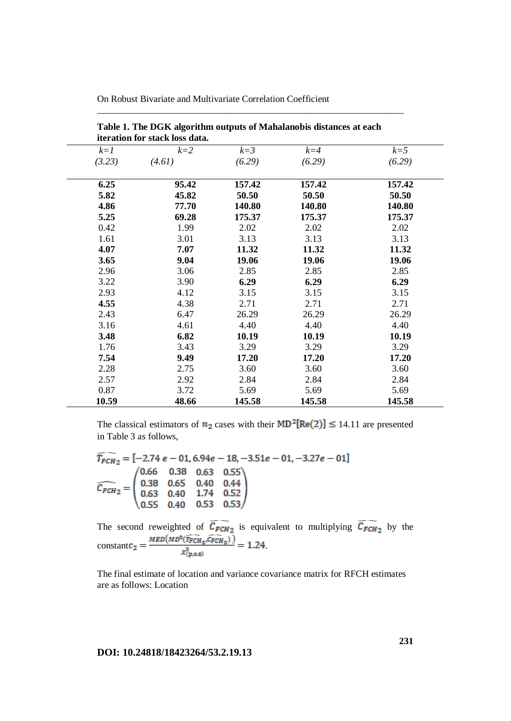|        | iteration for stack loss data. |         |         |        |
|--------|--------------------------------|---------|---------|--------|
| $k=1$  | $k=2$                          | $k = 3$ | $k = 4$ | $k=5$  |
| (3.23) | (4.61)                         | (6.29)  | (6.29)  | (6.29) |
| 6.25   | 95.42                          | 157.42  | 157.42  | 157.42 |
| 5.82   | 45.82                          | 50.50   | 50.50   | 50.50  |
| 4.86   | 77.70                          | 140.80  | 140.80  | 140.80 |
| 5.25   | 69.28                          | 175.37  | 175.37  | 175.37 |
| 0.42   | 1.99                           | 2.02    | 2.02    | 2.02   |
| 1.61   | 3.01                           | 3.13    | 3.13    | 3.13   |
| 4.07   | 7.07                           | 11.32   | 11.32   | 11.32  |
| 3.65   | 9.04                           | 19.06   | 19.06   | 19.06  |
| 2.96   | 3.06                           | 2.85    | 2.85    | 2.85   |
| 3.22   | 3.90                           | 6.29    | 6.29    | 6.29   |
| 2.93   | 4.12                           | 3.15    | 3.15    | 3.15   |
| 4.55   | 4.38                           | 2.71    | 2.71    | 2.71   |
| 2.43   | 6.47                           | 26.29   | 26.29   | 26.29  |
| 3.16   | 4.61                           | 4.40    | 4.40    | 4.40   |
| 3.48   | 6.82                           | 10.19   | 10.19   | 10.19  |
| 1.76   | 3.43                           | 3.29    | 3.29    | 3.29   |
| 7.54   | 9.49                           | 17.20   | 17.20   | 17.20  |
| 2.28   | 2.75                           | 3.60    | 3.60    | 3.60   |
| 2.57   | 2.92                           | 2.84    | 2.84    | 2.84   |
| 0.87   | 3.72                           | 5.69    | 5.69    | 5.69   |
| 10.59  | 48.66                          | 145.58  | 145.58  | 145.58 |

**Table 1. The DGK algorithm outputs of Mahalanobis distances at each** 

\_\_\_\_\_\_\_\_\_\_\_\_\_\_\_\_\_\_\_\_\_\_\_\_\_\_\_\_\_\_\_\_\_\_\_\_\_\_\_\_\_\_\_\_\_\_\_\_\_\_\_\_\_\_\_\_\_\_\_\_\_\_\_\_\_

The classical estimators of  $n_2$  cases with their MD<sup>2</sup>[Re(2)]  $\leq$  14.11 are presented in Table 3 as follows,

$$
\widehat{T_{FCH_2}} = [-2.74 \ e - 01, 6.94e - 18, -3.51e - 01, -3.27e - 01]
$$
\n
$$
\widehat{C_{FCH_2}} = \begin{pmatrix}\n0.66 & 0.38 & 0.63 & 0.55 \\
0.38 & 0.65 & 0.40 & 0.44 \\
0.63 & 0.40 & 1.74 & 0.52 \\
0.55 & 0.40 & 0.53 & 0.53\n\end{pmatrix}
$$

The second reweighted of  $C_{FCH_2}$  is equivalent to multiplying  $C_{FCH_2}$  by the constant  $c_2 = \frac{c_1 + c_2 + c_3 + c_4}{c_2} = 1.24$ 

The final estimate of location and variance covariance matrix for RFCH estimates are as follows: Location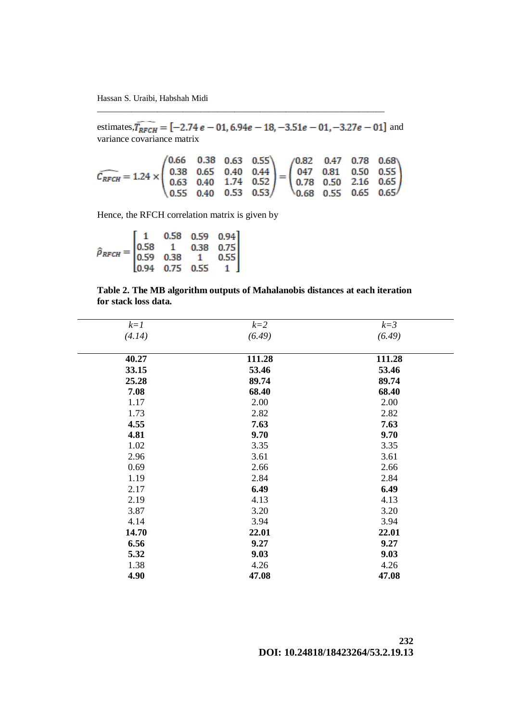Hassan S. Uraibi, Habshah Midi

estimates,  $T_{RFCH} = [-2.74 e - 01, 6.94 e - 18, -3.51 e - 01, -3.27 e - 01]$  and variance covariance matrix

\_\_\_\_\_\_\_\_\_\_\_\_\_\_\_\_\_\_\_\_\_\_\_\_\_\_\_\_\_\_\_\_\_\_\_\_\_\_\_\_\_\_\_\_\_\_\_\_\_\_\_\_\_\_\_\_\_\_\_\_\_\_\_\_\_\_\_

$$
\widehat{C_{RFCH}} = 1.24 \times \begin{pmatrix} 0.66 & 0.38 & 0.63 & 0.55 \\ 0.38 & 0.65 & 0.40 & 0.44 \\ 0.63 & 0.40 & 1.74 & 0.52 \\ 0.55 & 0.40 & 0.53 & 0.53 \end{pmatrix} = \begin{pmatrix} 0.82 & 0.47 & 0.78 & 0.68 \\ 0.47 & 0.81 & 0.50 & 0.55 \\ 0.78 & 0.50 & 2.16 & 0.65 \\ 0.68 & 0.55 & 0.65 & 0.65 \end{pmatrix}
$$

Hence, the RFCH correlation matrix is given by

 $\hat{\rho}_{RFCH} = \begin{bmatrix} 1 & 0.58 & 0.59 & 0.94 \\ 0.58 & 1 & 0.38 & 0.75 \\ 0.59 & 0.38 & 1 & 0.55 \\ 0.94 & 0.75 & 0.55 & 1 \end{bmatrix}$ 

|                      |  | Table 2. The MB algorithm outputs of Mahalanobis distances at each iteration |  |  |
|----------------------|--|------------------------------------------------------------------------------|--|--|
| for stack loss data. |  |                                                                              |  |  |

| $k=1$  | $k=2$  | $k=3$  |
|--------|--------|--------|
| (4.14) | (6.49) | (6.49) |
| 40.27  | 111.28 | 111.28 |
| 33.15  | 53.46  | 53.46  |
| 25.28  | 89.74  | 89.74  |
| 7.08   | 68.40  | 68.40  |
| 1.17   | 2.00   | 2.00   |
| 1.73   | 2.82   | 2.82   |
| 4.55   | 7.63   | 7.63   |
| 4.81   | 9.70   | 9.70   |
| 1.02   | 3.35   | 3.35   |
| 2.96   | 3.61   | 3.61   |
| 0.69   | 2.66   | 2.66   |
| 1.19   | 2.84   | 2.84   |
| 2.17   | 6.49   | 6.49   |
| 2.19   | 4.13   | 4.13   |
| 3.87   | 3.20   | 3.20   |
| 4.14   | 3.94   | 3.94   |
| 14.70  | 22.01  | 22.01  |
| 6.56   | 9.27   | 9.27   |
| 5.32   | 9.03   | 9.03   |
| 1.38   | 4.26   | 4.26   |
| 4.90   | 47.08  | 47.08  |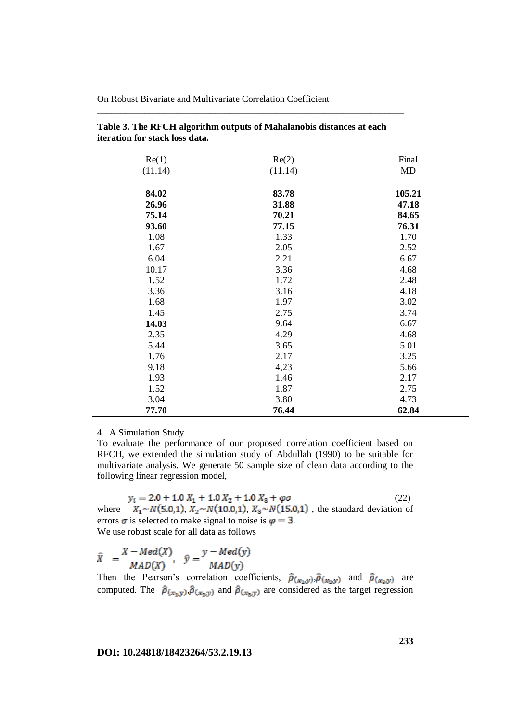| Re(2)   | Final  |
|---------|--------|
| (11.14) | MD     |
|         |        |
| 83.78   | 105.21 |
| 31.88   | 47.18  |
| 70.21   | 84.65  |
| 77.15   | 76.31  |
| 1.33    | 1.70   |
| 2.05    | 2.52   |
| 2.21    | 6.67   |
| 3.36    | 4.68   |
| 1.72    | 2.48   |
| 3.16    | 4.18   |
| 1.97    | 3.02   |
| 2.75    | 3.74   |
| 9.64    | 6.67   |
| 4.29    | 4.68   |
| 3.65    | 5.01   |
| 2.17    | 3.25   |
| 4,23    | 5.66   |
| 1.46    | 2.17   |
| 1.87    | 2.75   |
| 3.80    | 4.73   |
| 76.44   | 62.84  |
|         |        |

## **Table 3. The RFCH algorithm outputs of Mahalanobis distances at each iteration for stack loss data.**

\_\_\_\_\_\_\_\_\_\_\_\_\_\_\_\_\_\_\_\_\_\_\_\_\_\_\_\_\_\_\_\_\_\_\_\_\_\_\_\_\_\_\_\_\_\_\_\_\_\_\_\_\_\_\_\_\_\_\_\_\_\_\_\_\_

### 4. A Simulation Study

To evaluate the performance of our proposed correlation coefficient based on RFCH, we extended the simulation study of Abdullah (1990) to be suitable for multivariate analysis. We generate 50 sample size of clean data according to the following linear regression model,

 $(22)$ where  $X_1 \sim N(5.0,1)$ ,  $X_2 \sim N(10.0,1)$ ,  $X_3 \sim N(15.0,1)$ , the standard deviation of errors  $\sigma$  is selected to make signal to noise is  $\varphi = 3$ . We use robust scale for all data as follows

$$
\hat{X} = \frac{X - Med(X)}{MAD(X)}, \quad \hat{y} = \frac{y - Med(y)}{MAD(y)}
$$

Then the Pearson's correlation coefficients,  $\hat{\rho}_{(x_1,y)}$ ,  $\hat{\rho}_{(x_2,y)}$  and  $\hat{\rho}_{(x_3,y)}$  are computed. The  $\hat{\rho}_{(x_1,y)}$ ,  $\hat{\rho}_{(x_2,y)}$  and  $\hat{\rho}_{(x_3,y)}$  are considered as the target regression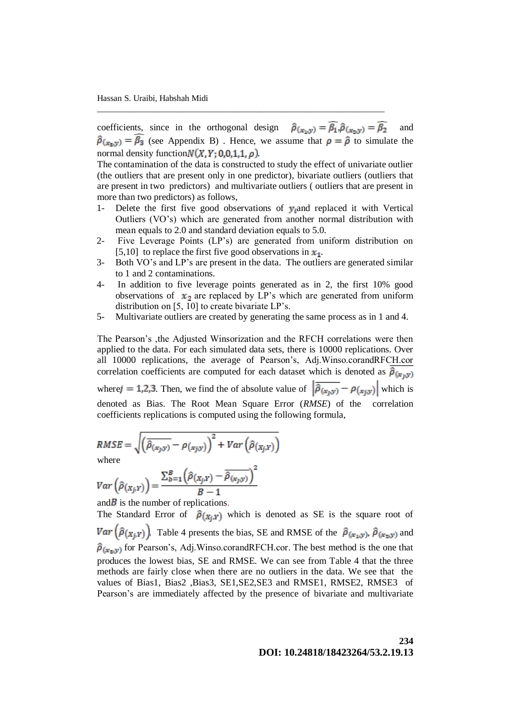coefficients, since in the orthogonal design  $\hat{\rho}_{(x_1,y)} = \hat{\beta}_1 \cdot \hat{\rho}_{(x_2,y)} = \hat{\beta}_2$  and  $\hat{\rho}_{(x_n,y)} = \overline{\beta_3}$  (see Appendix B). Hence, we assume that  $\rho = \hat{\rho}$  to simulate the normal density function  $N(X, Y; 0, 0, 1, 1, \rho)$ .

\_\_\_\_\_\_\_\_\_\_\_\_\_\_\_\_\_\_\_\_\_\_\_\_\_\_\_\_\_\_\_\_\_\_\_\_\_\_\_\_\_\_\_\_\_\_\_\_\_\_\_\_\_\_\_\_\_\_\_\_\_\_\_\_\_\_\_

The contamination of the data is constructed to study the effect of univariate outlier (the outliers that are present only in one predictor), bivariate outliers (outliers that are present in two predictors) and multivariate outliers ( outliers that are present in more than two predictors) as follows,

- 1- Delete the first five good observations of  $y_i$  and replaced it with Vertical Outliers (VO's) which are generated from another normal distribution with mean equals to 2.0 and standard deviation equals to 5.0.
- 2- Five Leverage Points (LP's) are generated from uniform distribution on [5,10] to replace the first five good observations in  $x_1$ .
- 3- Both VO's and LP's are present in the data. The outliers are generated similar to 1 and 2 contaminations.
- 4- In addition to five leverage points generated as in 2, the first 10% good observations of  $x_2$  are replaced by LP's which are generated from uniform distribution on [5, 10] to create bivariate LP's.
- 5- Multivariate outliers are created by generating the same process as in 1 and 4.

The Pearson's ,the Adjusted Winsorization and the RFCH correlations were then applied to the data. For each simulated data sets, there is 10000 replications. Over all 10000 replications, the average of Pearson's, Adj.Winso.corandRFCH.cor correlation coefficients are computed for each dataset which is denoted as  $\hat{\rho}_{(x,y)}$ 

where  $j = 1,2,3$ . Then, we find the of absolute value of  $\left|\overline{\hat{\rho}_{(x_j, y)}} - \rho_{(x_j, y)}\right|$  which is denoted as Bias. The Root Mean Square Error (*RMSE*) of the correlation coefficients replications is computed using the following formula,

$$
RMSE = \sqrt{\left(\hat{\rho}_{(x_j, y)} - \rho_{(x_j, y)}\right)^2 + Var\left(\hat{\rho}_{(x_j, y)}\right)}
$$
  
where

$$
Var\left(\hat{\rho}(x_{j},y)\right) = \frac{\sum_{b=1}^{B} \left(\hat{\rho}(x_{j},y) - \hat{\rho}(x_{j},y)\right)}{B-1}
$$

and  $\overline{B}$  is the number of replications.

The Standard Error of  $\hat{\rho}_{(X_i,Y)}$  which is denoted as SE is the square root of  $Var(\hat{\rho}(x_i, y))$ . Table 4 presents the bias, SE and RMSE of the  $\hat{\rho}(x_i, y)$ ,  $\hat{\rho}(x_i, y)$  and  $\hat{\rho}_{(x_0,y)}$  for Pearson's, Adj.Winso.corandRFCH.cor. The best method is the one that produces the lowest bias, SE and RMSE. We can see from Table 4 that the three methods are fairly close when there are no outliers in the data. We see that the values of Bias1, Bias2 ,Bias3, SE1,SE2,SE3 and RMSE1, RMSE2, RMSE3 of Pearson's are immediately affected by the presence of bivariate and multivariate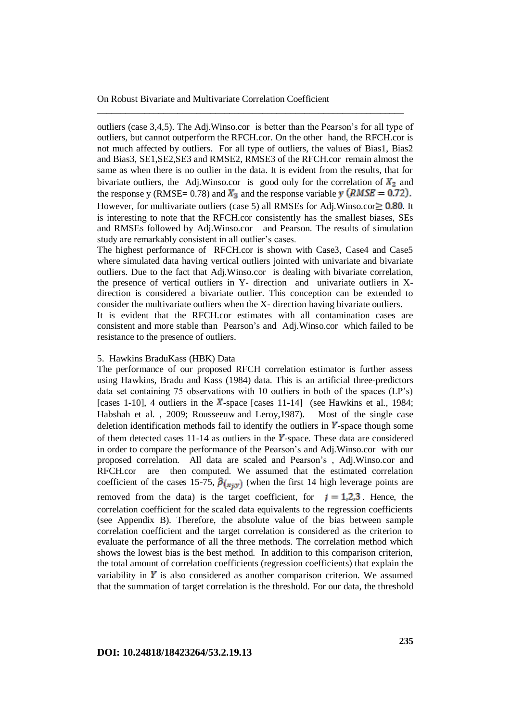outliers (case 3,4,5). The Adj.Winso.cor is better than the Pearson's for all type of outliers, but cannot outperform the RFCH.cor. On the other hand, the RFCH.cor is not much affected by outliers. For all type of outliers, the values of Bias1, Bias2 and Bias3, SE1,SE2,SE3 and RMSE2, RMSE3 of the RFCH.cor remain almost the same as when there is no outlier in the data. It is evident from the results, that for bivariate outliers, the Adj.Winso.cor is good only for the correlation of  $X_2$  and the response y (RMSE= 0.78) and  $X_3$  and the response variable y (RMSE = 0.72). However, for multivariate outliers (case 5) all RMSEs for Adj. Winso.cor  $\geq 0.80$ . It is interesting to note that the RFCH.cor consistently has the smallest biases, SEs and RMSEs followed by Adj.Winso.cor and Pearson. The results of simulation study are remarkably consistent in all outlier's cases.

\_\_\_\_\_\_\_\_\_\_\_\_\_\_\_\_\_\_\_\_\_\_\_\_\_\_\_\_\_\_\_\_\_\_\_\_\_\_\_\_\_\_\_\_\_\_\_\_\_\_\_\_\_\_\_\_\_\_\_\_\_\_\_\_\_

The highest performance of RFCH.cor is shown with Case3, Case4 and Case5 where simulated data having vertical outliers jointed with univariate and bivariate outliers. Due to the fact that Adj.Winso.cor is dealing with bivariate correlation, the presence of vertical outliers in Y- direction and univariate outliers in Xdirection is considered a bivariate outlier. This conception can be extended to consider the multivariate outliers when the X- direction having bivariate outliers.

It is evident that the RFCH.cor estimates with all contamination cases are consistent and more stable than Pearson's and Adj.Winso.cor which failed to be resistance to the presence of outliers.

#### 5. Hawkins BraduKass (HBK) Data

The performance of our proposed RFCH correlation estimator is further assess using Hawkins, Bradu and Kass (1984) data. This is an artificial three-predictors data set containing 75 observations with 10 outliers in both of the spaces (LP's) [cases 1-10], 4 outliers in the  $X$ -space [cases 11-14] (see Hawkins et al., 1984; Habshah et al. , 2009; Rousseeuw and Leroy,1987). Most of the single case deletion identification methods fail to identify the outliers in  $\boldsymbol{Y}$ -space though some of them detected cases 11-14 as outliers in the  $Y$ -space. These data are considered in order to compare the performance of the Pearson's and Adj.Winso.cor with our proposed correlation. All data are scaled and Pearson's , Adj.Winso.cor and RFCH.cor are then computed. We assumed that the estimated correlation coefficient of the cases 15-75,  $\hat{\rho}_{(x_i,y)}$  (when the first 14 high leverage points are removed from the data) is the target coefficient, for  $j = 1,2,3$ . Hence, the correlation coefficient for the scaled data equivalents to the regression coefficients (see Appendix B). Therefore, the absolute value of the bias between sample correlation coefficient and the target correlation is considered as the criterion to evaluate the performance of all the three methods. The correlation method which shows the lowest bias is the best method. In addition to this comparison criterion, the total amount of correlation coefficients (regression coefficients) that explain the variability in  $\boldsymbol{Y}$  is also considered as another comparison criterion. We assumed that the summation of target correlation is the threshold. For our data, the threshold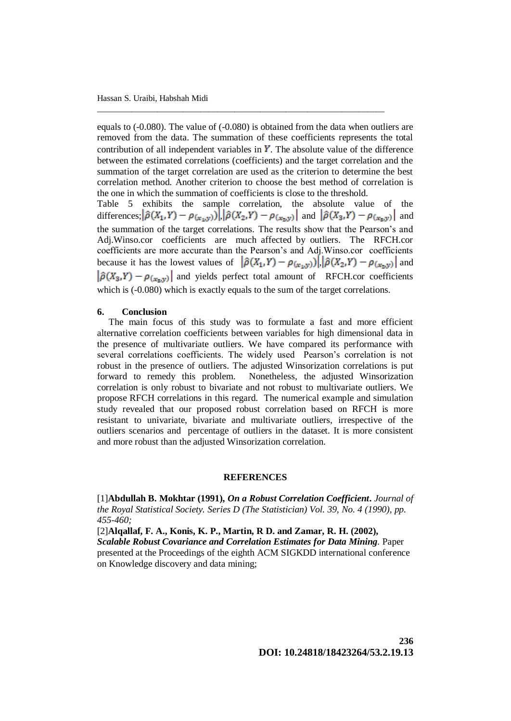equals to (-0.080). The value of (-0.080) is obtained from the data when outliers are removed from the data. The summation of these coefficients represents the total contribution of all independent variables in  $Y$ . The absolute value of the difference between the estimated correlations (coefficients) and the target correlation and the summation of the target correlation are used as the criterion to determine the best correlation method. Another criterion to choose the best method of correlation is the one in which the summation of coefficients is close to the threshold.

\_\_\_\_\_\_\_\_\_\_\_\_\_\_\_\_\_\_\_\_\_\_\_\_\_\_\_\_\_\_\_\_\_\_\_\_\_\_\_\_\_\_\_\_\_\_\_\_\_\_\_\_\_\_\_\_\_\_\_\_\_\_\_\_\_\_\_

Table 5 exhibits the sample correlation, the absolute value of the differences;  $|\hat{\rho}(X_1,Y) - \rho_{(x_1,y)})| |\hat{\rho}(X_2,Y) - \rho_{(x_2,y)}|$  and  $|\hat{\rho}(X_3,Y) - \rho_{(x_3,y)}|$  and the summation of the target correlations. The results show that the Pearson's and Adj.Winso.cor coefficients are much affected by outliers. The RFCH.cor coefficients are more accurate than the Pearson's and Adj.Winso.cor coefficients because it has the lowest values of  $|\hat{\rho}(X_1,Y) - \rho_{(x_1,y_1)}| |\hat{\rho}(X_2,Y) - \rho_{(x_2,y_1)}|$  and  $\left|\hat{\rho}(X_3,Y) - \rho_{(x_3,y)}\right|$  and yields perfect total amount of RFCH.cor coefficients which is  $(-0.080)$  which is exactly equals to the sum of the target correlations.

#### **6. Conclusion**

 The main focus of this study was to formulate a fast and more efficient alternative correlation coefficients between variables for high dimensional data in the presence of multivariate outliers. We have compared its performance with several correlations coefficients. The widely used Pearson's correlation is not robust in the presence of outliers. The adjusted Winsorization correlations is put forward to remedy this problem. Nonetheless, the adjusted Winsorization correlation is only robust to bivariate and not robust to multivariate outliers. We propose RFCH correlations in this regard. The numerical example and simulation study revealed that our proposed robust correlation based on RFCH is more resistant to univariate, bivariate and multivariate outliers, irrespective of the outliers scenarios and percentage of outliers in the dataset. It is more consistent and more robust than the adjusted Winsorization correlation.

### **REFERENCES**

[1]**Abdullah B. Mokhtar (1991),** *On a Robust Correlation Coefficient***.** *Journal of the Royal Statistical Society. Series D (The Statistician) Vol. 39, No. 4 (1990), pp. 455-460;*

[2]**Alqallaf, F. A., Konis, K. P., Martin, R D. and Zamar, R. H. (2002),**

*Scalable Robust Covariance and Correlation Estimates for Data Mining.* Paper presented at the Proceedings of the eighth ACM SIGKDD international conference on Knowledge discovery and data mining;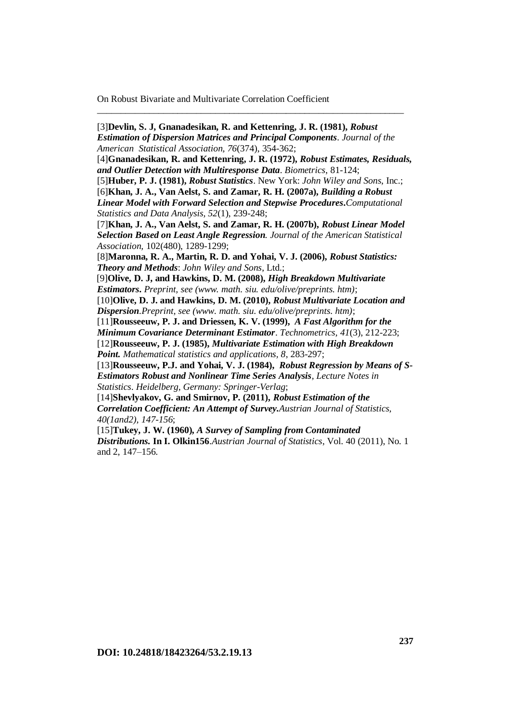[3]**Devlin, S. J, Gnanadesikan, R. and Kettenring, J. R. (1981),** *Robust Estimation of Dispersion Matrices and Principal Components*. *Journal of the American Statistical Association, 76*(374), 354-362; [4]**Gnanadesikan, R. and Kettenring, J. R. (1972),** *Robust Estimates, Residuals, and Outlier Detection with Multiresponse Data*. *Biometrics*, 81-124; [5]**Huber, P. J. (1981),** *Robust Statistics*. New York: *John Wiley and Sons*, Inc.; [6]**Khan, J. A., Van Aelst, S. and Zamar, R. H. (2007a),** *Building a Robust Linear Model with Forward Selection and Stepwise Procedures***.***Computational Statistics and Data Analysis, 52*(1), 239-248; [7]**Khan, J. A., Van Aelst, S. and Zamar, R. H. (2007b),** *Robust Linear Model Selection Based on Least Angle Regression. Journal of the American Statistical Association,* 102(480), 1289-1299; [8]**Maronna, R. A., Martin, R. D. and Yohai, V. J. (2006),** *Robust Statistics: Theory and Methods*: *John Wiley and Sons*, Ltd.; [9]**Olive, D. J, and Hawkins, D. M. (2008),** *High Breakdown Multivariate Estimators***.** *Preprint, see (www. math. siu. edu/olive/preprints. htm)*; [10]**Olive, D. J. and Hawkins, D. M. (2010),** *Robust Multivariate Location and Dispersion.Preprint, see (www. math. siu. edu/olive/preprints. htm)*; [11]**Rousseeuw, P. J. and Driessen, K. V. (1999),** *A Fast Algorithm for the Minimum Covariance Determinant Estimator*. *Technometrics, 41*(3), 212-223; [12]**Rousseeuw, P. J. (1985),** *Multivariate Estimation with High Breakdown Point. Mathematical statistics and applications, 8*, 283-297; [13]**Rousseeuw, P.J. and Yohai, V. J. (1984),** *Robust Regression by Means of S-Estimators Robust and Nonlinear Time Series Analysis, Lecture Notes in Statistics*. *Heidelberg, Germany: Springer-Verlag*; [14]**Shevlyakov, G. and Smirnov, P. (2011),** *Robust Estimation of the Correlation Coefficient: An Attempt of Survey.Austrian Journal of Statistics, 40(1and2), 147-156*;

\_\_\_\_\_\_\_\_\_\_\_\_\_\_\_\_\_\_\_\_\_\_\_\_\_\_\_\_\_\_\_\_\_\_\_\_\_\_\_\_\_\_\_\_\_\_\_\_\_\_\_\_\_\_\_\_\_\_\_\_\_\_\_\_\_

[15]**Tukey, J. W. (1960),** *A Survey of Sampling from Contaminated Distributions.* **In I. Olkin156**.*Austrian Journal of Statistics*, Vol. 40 (2011), No. 1 and 2, 147–156.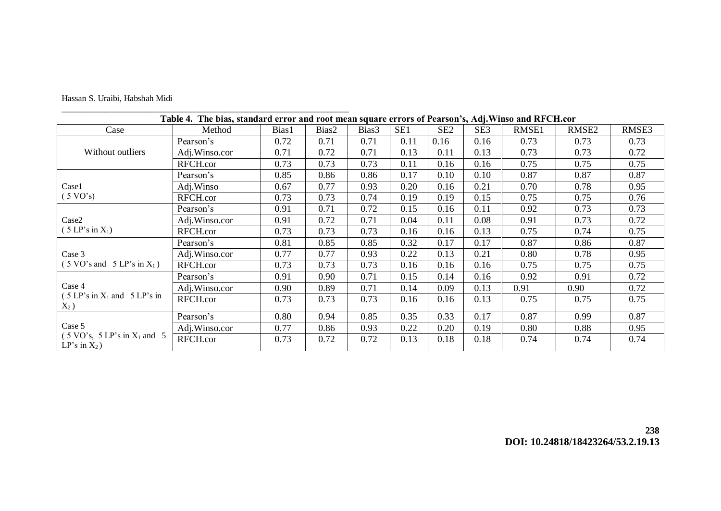|  |  |  | Hassan S. Uraibi, Habshah Midi |  |
|--|--|--|--------------------------------|--|
|--|--|--|--------------------------------|--|

\_\_\_\_\_\_\_\_\_\_\_\_\_\_\_\_\_\_\_\_\_\_\_\_\_\_\_\_\_\_\_\_\_\_\_\_\_\_\_\_\_\_\_\_\_\_\_\_\_\_\_\_\_\_\_\_\_\_\_\_\_\_\_\_\_\_\_

# **Table 4. The bias, standard error and root mean square errors of Pearson's, Adj.Winso and RFCH.cor**

| Case                                                                         | Method        | Bias1 | Bias2 | Bias3 | SE1  | SE <sub>2</sub> | SE <sub>3</sub> | RMSE1 | RMSE <sub>2</sub> | RMSE3 |
|------------------------------------------------------------------------------|---------------|-------|-------|-------|------|-----------------|-----------------|-------|-------------------|-------|
|                                                                              | Pearson's     | 0.72  | 0.71  | 0.71  | 0.11 | 0.16            | 0.16            | 0.73  | 0.73              | 0.73  |
| Without outliers                                                             | Adj.Winso.cor | 0.71  | 0.72  | 0.71  | 0.13 | 0.11            | 0.13            | 0.73  | 0.73              | 0.72  |
|                                                                              | RFCH.cor      | 0.73  | 0.73  | 0.73  | 0.11 | 0.16            | 0.16            | 0.75  | 0.75              | 0.75  |
|                                                                              | Pearson's     | 0.85  | 0.86  | 0.86  | 0.17 | 0.10            | 0.10            | 0.87  | 0.87              | 0.87  |
| Case1                                                                        | Adj.Winso     | 0.67  | 0.77  | 0.93  | 0.20 | 0.16            | 0.21            | 0.70  | 0.78              | 0.95  |
| $(5 \text{ VO's})$                                                           | RFCH.cor      | 0.73  | 0.73  | 0.74  | 0.19 | 0.19            | 0.15            | 0.75  | 0.75              | 0.76  |
|                                                                              | Pearson's     | 0.91  | 0.71  | 0.72  | 0.15 | 0.16            | 0.11            | 0.92  | 0.73              | 0.73  |
| Case2                                                                        | Adj.Winso.cor | 0.91  | 0.72  | 0.71  | 0.04 | 0.11            | 0.08            | 0.91  | 0.73              | 0.72  |
| (5 LP's in X <sub>1</sub> )                                                  | RFCH.cor      | 0.73  | 0.73  | 0.73  | 0.16 | 0.16            | 0.13            | 0.75  | 0.74              | 0.75  |
|                                                                              | Pearson's     | 0.81  | 0.85  | 0.85  | 0.32 | 0.17            | 0.17            | 0.87  | 0.86              | 0.87  |
| Case 3                                                                       | Adj.Winso.cor | 0.77  | 0.77  | 0.93  | 0.22 | 0.13            | 0.21            | 0.80  | 0.78              | 0.95  |
| $(5 \text{ VO's and } 5 \text{ LP's in } X_1)$                               | RFCH.cor      | 0.73  | 0.73  | 0.73  | 0.16 | 0.16            | 0.16            | 0.75  | 0.75              | 0.75  |
|                                                                              | Pearson's     | 0.91  | 0.90  | 0.71  | 0.15 | 0.14            | 0.16            | 0.92  | 0.91              | 0.72  |
| Case 4                                                                       | Adj.Winso.cor | 0.90  | 0.89  | 0.71  | 0.14 | 0.09            | 0.13            | 0.91  | 0.90              | 0.72  |
| $(5 LP's in X1 and 5 LP's in$<br>$X_2$ )                                     | RFCH.cor      | 0.73  | 0.73  | 0.73  | 0.16 | 0.16            | 0.13            | 0.75  | 0.75              | 0.75  |
| Case 5                                                                       | Pearson's     | 0.80  | 0.94  | 0.85  | 0.35 | 0.33            | 0.17            | 0.87  | 0.99              | 0.87  |
|                                                                              | Adj.Winso.cor | 0.77  | 0.86  | 0.93  | 0.22 | 0.20            | 0.19            | 0.80  | 0.88              | 0.95  |
| $(5 \text{ VO's}, 5 \text{ LP's in } X_1 \text{ and } 5)$<br>LP's in $X_2$ ) | RFCH.cor      | 0.73  | 0.72  | 0.72  | 0.13 | 0.18            | 0.18            | 0.74  | 0.74              | 0.74  |